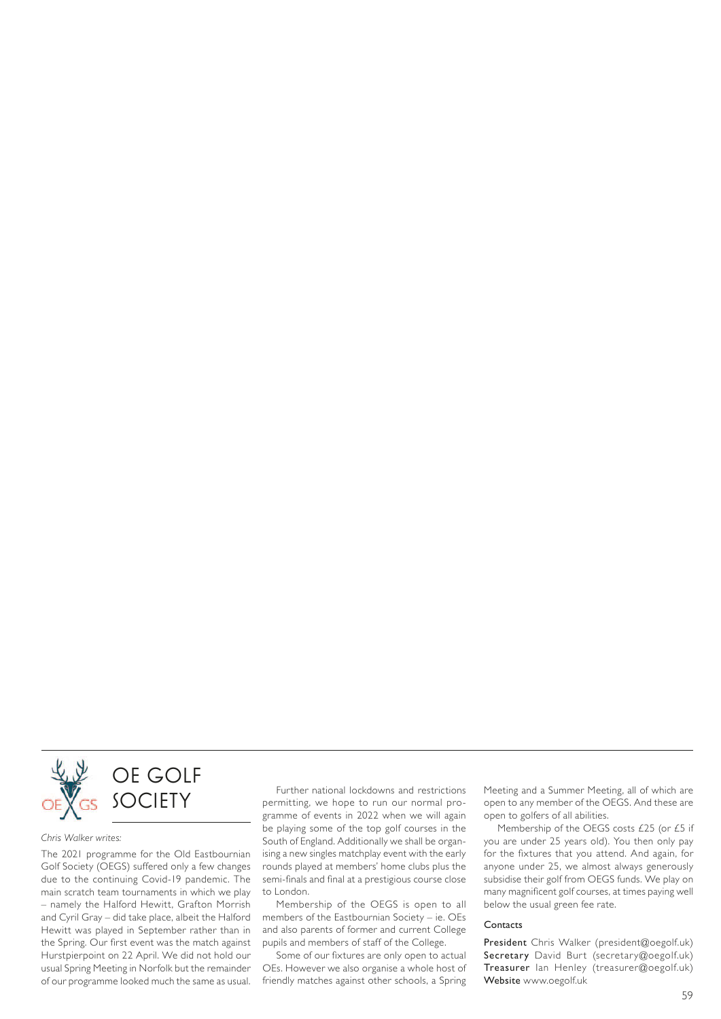

#### *Chris Walker writes:*

The 2021 programme for the Old Eastbournian Golf Society (OEGS) suffered only a few changes due to the continuing Covid-19 pandemic. The main scratch team tournaments in which we play – namely the Halford Hewitt, Grafton Morrish and Cyril Gray – did take place, albeit the Halford Hewitt was played in september rather than in the Spring. Our first event was the match against Hurstpierpoint on 22 April. We did not hold our usual Spring Meeting in Norfolk but the remainder of our programme looked much the same as usual.

Further national lockdowns and restrictions permitting, we hope to run our normal programme of events in 2022 when we will again be playing some of the top golf courses in the South of England. Additionally we shall be organising a new singles matchplay event with the early rounds played at members' home clubs plus the semi-finals and final at a prestigious course close to london.

Membership of the OEGs is open to all members of the Eastbournian Society – ie. OEs and also parents of former and current College pupils and members of staff of the College.

Some of our fixtures are only open to actual OEs. However we also organise a whole host of friendly matches against other schools, a spring Meeting and a summer Meeting, all of which are open to any member of the OEGS. And these are open to golfers of all abilities.

Membership of the OEGS costs £25 (or £5 if you are under 25 years old). You then only pay for the fixtures that you attend. And again, for anyone under 25, we almost always generously subsidise their golf from OEGs funds. We play on many magnificent golf courses, at times paying well below the usual green fee rate.

#### **Contacts**

President Chris Walker (president@oegolf.uk) Secretary David Burt (secretary@oegolf.uk) Treasurer Ian Henley (treasurer@oegolf.uk) Website www.oegolf.uk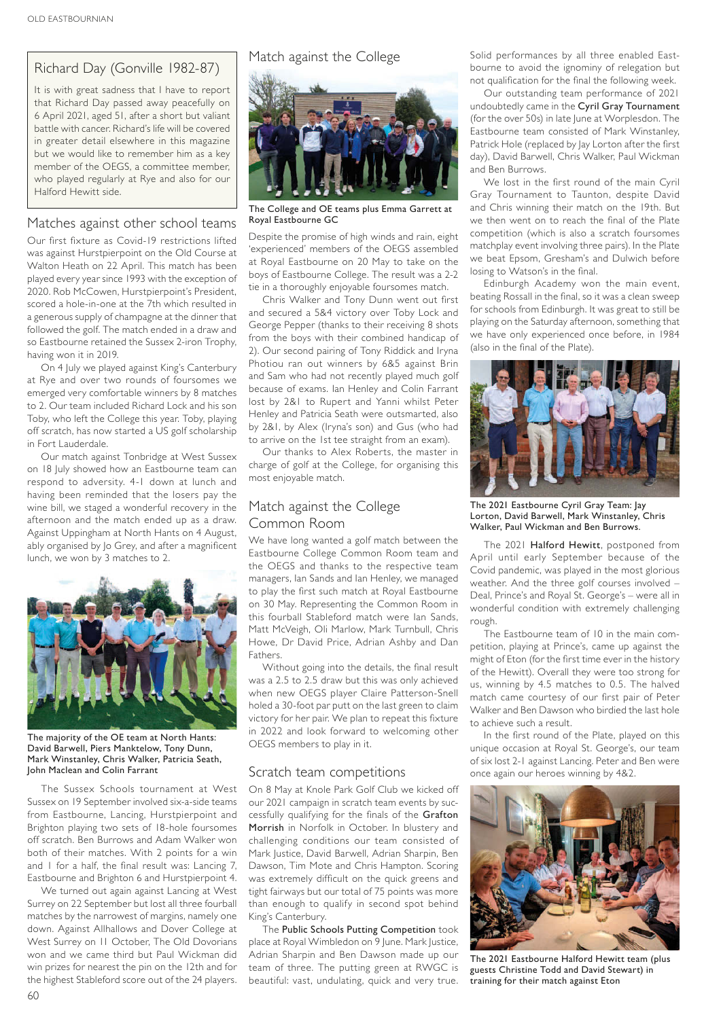# Richard Day (Gonville 1982-87)

It is with great sadness that I have to report that Richard Day passed away peacefully on 6 april 2021, aged 51, after a short but valiant battle with cancer. Richard's life will be covered in greater detail elsewhere in this magazine but we would like to remember him as a key member of the OEGs, a committee member, who played regularly at Rye and also for our Halford Hewitt side.

### Matches against other school teams

Our first fixture as Covid-19 restrictions lifted was against Hurstpierpoint on the Old Course at Walton Heath on 22 April. This match has been played every year since 1993 with the exception of 2020. Rob McCowen, Hurstpierpoint's President, scored a hole-in-one at the 7th which resulted in a generous supply of champagne at the dinner that followed the golf. The match ended in a draw and so Eastbourne retained the Sussex 2-iron Trophy, having won it in 2019.

On 4 July we played against King's Canterbury at Rye and over two rounds of foursomes we emerged very comfortable winners by 8 matches to 2. Our team included Richard Lock and his son Toby, who left the College this year. Toby, playing off scratch, has now started a US golf scholarship in Fort lauderdale.

Our match against Tonbridge at West Sussex on 18 July showed how an Eastbourne team can respond to adversity. 4-1 down at lunch and having been reminded that the losers pay the wine bill, we staged a wonderful recovery in the afternoon and the match ended up as a draw. Against Uppingham at North Hants on 4 August, ably organised by Jo Grey, and after a magnificent lunch, we won by 3 matches to 2.



The majority of the OE team at North Hants: David Barwell, Piers Manktelow, Tony Dunn, Mark Winstanley, Chris Walker, Patricia Seath, John Maclean and Colin Farrant

The Sussex Schools tournament at West sussex on 19 september involved six-a-side teams from Eastbourne, lancing, Hurstpierpoint and Brighton playing two sets of 18-hole foursomes off scratch. Ben Burrows and Adam Walker won both of their matches. With 2 points for a win and I for a half, the final result was: Lancing 7, Eastbourne and Brighton 6 and Hurstpierpoint 4.

We turned out again against lancing at West surrey on 22 september but lost all three fourball matches by the narrowest of margins, namely one down. Against Allhallows and Dover College at West Surrey on II October, The Old Dovorians won and we came third but Paul Wickman did win prizes for nearest the pin on the 12th and for the highest Stableford score out of the 24 players.



The College and OE teams plus Emma Garrett at Royal Eastbourne GC

Despite the promise of high winds and rain, eight 'experienced' members of the OEGs assembled at Royal Eastbourne on 20 May to take on the boys of Eastbourne College. The result was a 2-2 tie in a thoroughly enjoyable foursomes match.

Chris Walker and Tony Dunn went out first and secured a 5&4 victory over Toby Lock and George Pepper (thanks to their receiving 8 shots from the boys with their combined handicap of 2). Our second pairing of Tony Riddick and Iryna Photiou ran out winners by 6&5 against Brin and Sam who had not recently played much golf because of exams. Ian Henley and Colin Farrant lost by 2&1 to Rupert and Yanni whilst Peter Henley and Patricia seath were outsmarted, also by 2&1, by Alex (Iryna's son) and Gus (who had to arrive on the 1st tee straight from an exam).

Our thanks to Alex Roberts, the master in charge of golf at the College, for organising this most enjoyable match.

# Match against the College Common Room

We have long wanted a golf match between the Eastbourne College Common Room team and the OEGs and thanks to the respective team managers, lan Sands and lan Henley, we managed to play the first such match at Royal Eastbourne on 30 May. Representing the Common Room in this fourball stableford match were ian sands, Matt McVeigh, Oli Marlow, Mark Turnbull, Chris Howe, Dr David Price, Adrian Ashby and Dan Fathers.

Without going into the details, the final result was a 2.5 to 2.5 draw but this was only achieved when new OEGS player Claire Patterson-Snell holed a 30-foot par putt on the last green to claim victory for her pair. We plan to repeat this fixture in 2022 and look forward to welcoming other OEGs members to play in it.

#### scratch team competitions

On 8 May at Knole Park Golf Club we kicked off our 2021 campaign in scratch team events by successfully qualifying for the finals of the Grafton Morrish in Norfolk in October. In blustery and challenging conditions our team consisted of Mark Justice, David Barwell, Adrian Sharpin, Ben Dawson, Tim Mote and Chris Hampton. Scoring was extremely difficult on the quick greens and tight fairways but our total of 75 points was more than enough to qualify in second spot behind King's Canterbury.

The Public Schools Putting Competition took place at Royal Wimbledon on 9 June. Mark Justice, Adrian Sharpin and Ben Dawson made up our team of three. The putting green at RWGC is beautiful: vast, undulating, quick and very true.

Match against the College solid performances by all three enabled Eastbourne to avoid the ignominy of relegation but not qualification for the final the following week.

> Our outstanding team performance of 2021 undoubtedly came in the Cyril Gray Tournament (for the over 50s) in late June at Worplesdon. The Eastbourne team consisted of Mark Winstanley, Patrick Hole (replaced by Jay Lorton after the first day), David Barwell, Chris Walker, Paul Wickman and ben burrows.

> We lost in the first round of the main Cyril Gray Tournament to Taunton, despite David and Chris winning their match on the 19th. But we then went on to reach the final of the Plate competition (which is also a scratch foursomes matchplay event involving three pairs). In the Plate we beat Epsom, Gresham's and Dulwich before losing to Watson's in the final.

> Edinburgh Academy won the main event, beating Rossall in the final, so it was a clean sweep for schools from Edinburgh. it was great to still be playing on the saturday afternoon, something that we have only experienced once before, in 1984 (also in the final of the Plate).



The 2021 Eastbourne Cyril Gray Team: Jay Lorton, David Barwell, Mark Winstanley, Chris Walker, Paul Wickman and Ben Burrows.

The 2021 Halford Hewitt, postponed from april until early september because of the Covid pandemic, was played in the most glorious weather. And the three golf courses involved -Deal, Prince's and Royal St. George's – were all in wonderful condition with extremely challenging rough.

The Eastbourne team of 10 in the main competition, playing at Prince's, came up against the might of Eton (for the first time ever in the history of the Hewitt). Overall they were too strong for us, winning by 4.5 matches to 0.5. The halved match came courtesy of our first pair of Peter Walker and Ben Dawson who birdied the last hole to achieve such a result.

In the first round of the Plate, played on this unique occasion at Royal St. George's, our team of six lost 2-1 against lancing. Peter and ben were once again our heroes winning by 4&2.



The 2021 Eastbourne Halford Hewitt team (plus guests Christine Todd and David Stewart) in training for their match against Eton